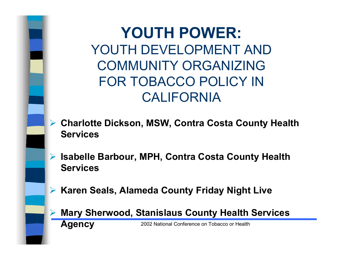**YOUTH POWER:** YOUTH DEVELOPMENT ANDCOMMUNITY ORGANIZINGFOR TOBACCO POLICY INCALIFORNIA

- ¾ **Charlotte Dickson, MSW, Contra Costa County Health Services**
- ¾ **Isabelle Barbour, MPH, Contra Costa County Health Services**
- ¾ **Karen Seals, Alameda County Friday Night Live**

¾ **Mary Sherwood, Stanislaus County Health Services Agency**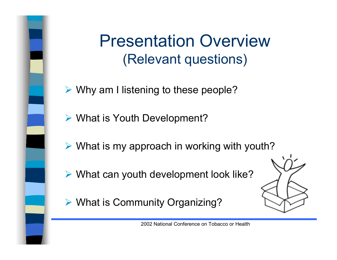Presentation Overview(Relevant questions)

- ¾ Why am I listening to these people?
- ¾ What is Youth Development?
- ¾ What is my approach in working with youth?
- ¾ What can youth development look like?
- ¾ What is Community Organizing?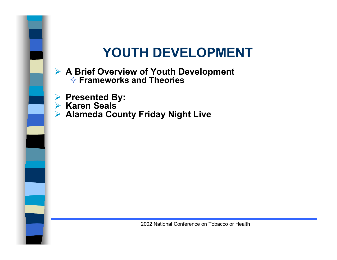#### **YOUTH DEVELOPMENT**



#### ¾ **A Brief Overview of Youth Development Frameworks and Theories**

- ¾ **Presented By:**
- ¾ **Karen Seals**
- ¾ **Alameda County Friday Night Live**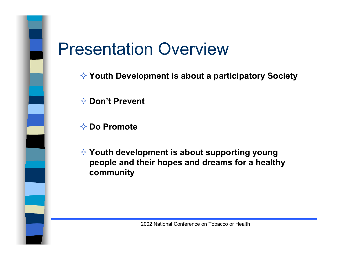

## Presentation Overview

**Youth Development is about a participatory Society**

**Don't Prevent**

**Do Promote**

 **Youth development is about supporting young people and their hopes and dreams for a healthy community**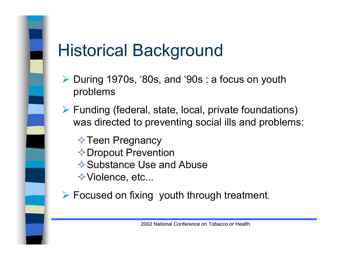# Historical Background

- ¾ During 1970s, '80s, and '90s : a focus on youth problems
- ¾ Funding (federal, state, local, private foundations) was directed to preventing social ills and problems:

 $\Diamond$  Teen Pregnancy **◆Dropout Prevention**  $\Diamond$  Substance Use and Abuse  $\Diamond$  Violence, etc...

¾ Focused on fixing youth through treatment.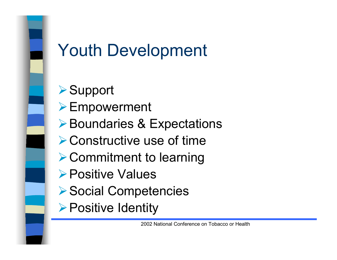

## Youth Development

**≻Support ≻Empowerment ▶Boundaries & Expectations ▶ Constructive use of time ≻ Commitment to learning** ¾Positive Values**▶Social Competencies ≻Positive Identity**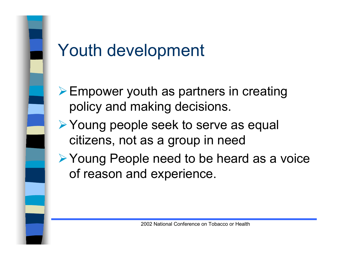

## Youth development

- ¾Empower youth as partners in creating policy and making decisions.
- **► Young people seek to serve as equal** citizens, not as a group in need
- ¾Young People need to be heard as a voice of reason and experience.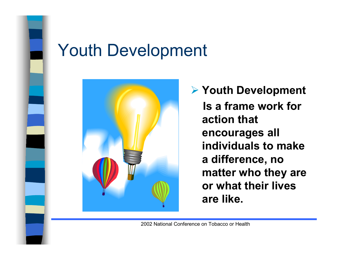

## Youth Development



¾ **Youth Development Is a frame work foraction thatencourages all individuals to makea difference, no matter who they are or what their livesare like.**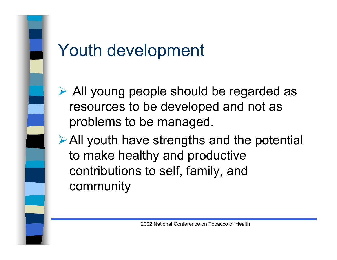

# Youth development

- ¾ All young people should be regarded as resources to be developed and not as problems to be managed.
- ¾All youth have strengths and the potential to make healthy and productive contributions to self, family, and community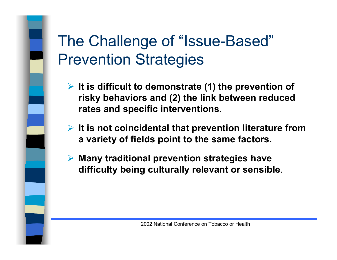## The Challenge of "Issue-Based" Prevention Strategies

- ¾ **It is difficult to demonstrate (1) the prevention of risky behaviors and (2) the link between reduced rates and specific interventions.**
- ¾ **It is not coincidental that prevention literature from a variety of fields point to the same factors.**
- ¾ **Many traditional prevention strategies have difficulty being culturally relevant or sensible**.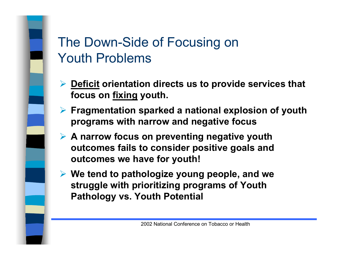### The Down-Side of Focusing on Youth Problems

- ¾ **Deficit orientation directs us to provide services that focus on fixing youth.**
- ¾ **Fragmentation sparked a national explosion of youth programs with narrow and negative focus**
- ¾ **A narrow focus on preventing negative youth outcomes fails to consider positive goals and outcomes we have for youth!**
- ¾ **We tend to pathologize young people, and we struggle with prioritizing programs of Youth Pathology vs. Youth Potential**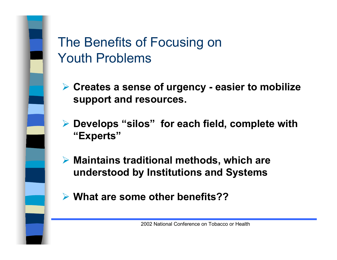### The Benefits of Focusing on Youth Problems

- ¾ **Creates a sense of urgency easier to mobilize support and resources.**
- ¾ **Develops "silos" for each field, complete with "Experts"**
- ¾ **Maintains traditional methods, which are understood by Institutions and Systems**
- ¾ **What are some other benefits??**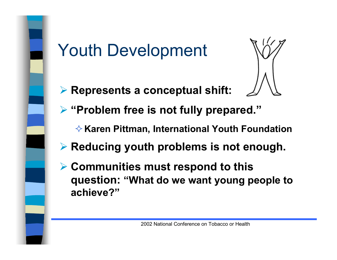

# Youth Development

¾ **Represents a conceptual shift:**



- ¾ **"Problem free is not fully prepared."**
	- **★ Karen Pittman, International Youth Foundation**
- ¾ **Reducing youth problems is not enough.**
- ¾ **Communities must respond to this question: "What do we want young people to achieve?"**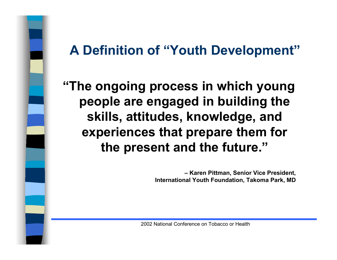### **A Definition of "Youth Development"**

**"The ongoing process in which young people are engaged in building the skills, attitudes, knowledge, and experiences that prepare them for the present and the future."**

> **– Karen Pittman, Senior Vice President, International Youth Foundation, Takoma Park, MD**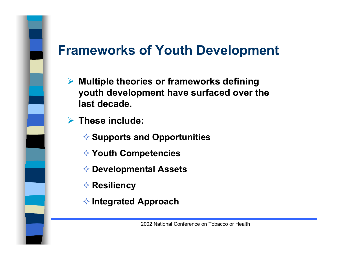### **Frameworks of Youth Development**

- ¾ **Multiple theories or frameworks defining youth development have surfaced over the last decade.**
- ¾ **These include:**
	- **Supports and Opportunities**
	- **Youth Competencies**
	- **Developmental Assets**
	- **<b>A** Resiliency
	- **Integrated Approach**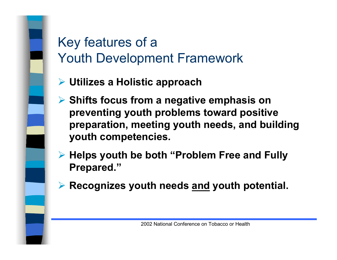## Key features of a Youth Development Framework

- ¾ **Utilizes a Holistic approach**
- ¾ **Shifts focus from a negative emphasis on preventing youth problems toward positive preparation, meeting youth needs, and building youth competencies.**
- ¾ **Helps youth be both "Problem Free and Fully Prepared."**
- ¾ **Recognizes youth needs and youth potential.**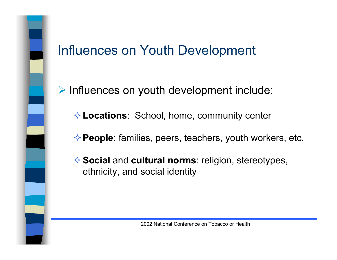#### Influences on Youth Development

¾ Influences on youth development include:

**Locations**: School, home, community center

**People**: families, peers, teachers, youth workers, etc.

**Social** and **cultural norms**: religion, stereotypes, ethnicity, and social identity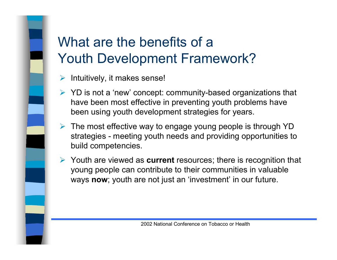## What are the benefits of aYouth Development Framework?

- ¾Intuitively, it makes sense!
- ¾ YD is not a 'new' concept: community-based organizations that have been most effective in preventing youth problems have been using youth development strategies for years.
- $\triangleright$  The most effective way to engage young people is through YD strategies - meeting youth needs and providing opportunities to build competencies.
- ¾ Youth are viewed as **current** resources; there is recognition that young people can contribute to their communities in valuable ways **now**; youth are not just an 'investment' in our future.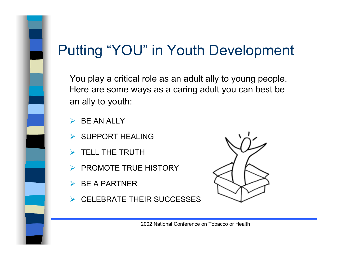## Putting "YOU" in Youth Development

You play a critical role as an adult ally to young people. Here are some ways as a caring adult you can best be an ally to youth:

- ¾BE AN ALLY
- ¾ SUPPORT HEALING
- $\triangleright$  TELL THE TRUTH
- ¾PROMOTE TRUE HISTORY
- $\triangleright$  BE A PARTNER
- ¾ CELEBRATE THEIR SUCCESSES

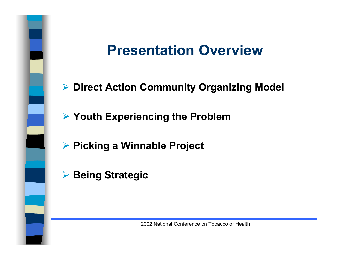## **Presentation Overview**

- ¾ **Direct Action Community Organizing Model**
- ¾ **Youth Experiencing the Problem**
- ¾ **Picking a Winnable Project**
- ¾ **Being Strategic**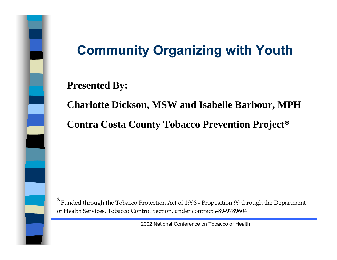

## **Community Organizing with Youth**

#### **Presented By:**

**Charlotte Dickson, MSW and Isabelle Barbour, MPH Contra Costa County Tobacco Prevention Project\***

\*Funded through the Tobacco Protection Act of 1998 - Proposition 99 through the Department of Health Services, Tobacco Control Section, under contract #89-9789604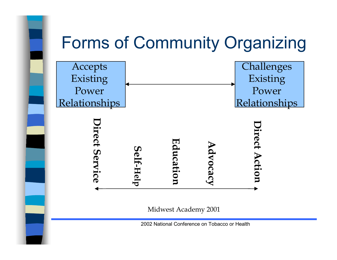

Midwest Academy 2001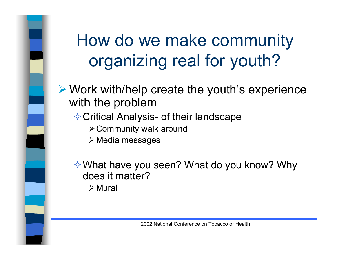# How do we make community organizing real for youth?

- ¾ Work with/help create the youth's experience with the problem
	- **♦ Critical Analysis- of their landscape** 
		- ¾Community walk around
		- $\triangleright$  Media messages

What have you seen? What do you know? Why does it matter?

 $\triangleright$  Mural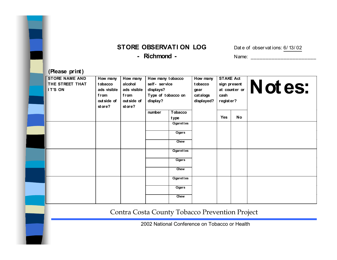#### **STORE OBSERVATI ON LOG** Date of observations: 6/ 13/ 02

**-**

 **Richmond -** Name: \_\_\_\_\_\_\_\_\_\_\_\_\_\_\_\_\_\_\_\_\_\_

#### **(Please print)**

| <b>STORE NAME AND</b><br>THE STREET THAT<br>IT'S ON | How many<br>tobacco<br>ads visible<br>from<br>out side of<br>st ore? | How many<br>alcohol<br>ads visible<br>from<br>out side of<br>st ore? | How many tobacco<br>self- service<br>displays?<br>Type of tobacco on<br>display? |                   | How many<br>tobacco<br>gear<br>catalogs<br>displayed? | <b>STAKE Act</b><br>cash<br>register? | sign present<br>at counter or $ $ | Notes: |
|-----------------------------------------------------|----------------------------------------------------------------------|----------------------------------------------------------------------|----------------------------------------------------------------------------------|-------------------|-------------------------------------------------------|---------------------------------------|-----------------------------------|--------|
|                                                     |                                                                      |                                                                      | number                                                                           | Tobacco<br>type   |                                                       | Yes                                   | No                                |        |
|                                                     |                                                                      |                                                                      |                                                                                  | <b>Cigarettes</b> |                                                       |                                       |                                   |        |
|                                                     |                                                                      |                                                                      |                                                                                  | Cigars            |                                                       |                                       |                                   |        |
|                                                     |                                                                      |                                                                      |                                                                                  | Chew              |                                                       |                                       |                                   |        |
|                                                     |                                                                      |                                                                      |                                                                                  | Cigarettes        |                                                       |                                       |                                   |        |
|                                                     |                                                                      |                                                                      |                                                                                  | Cigars            |                                                       |                                       |                                   |        |
|                                                     |                                                                      |                                                                      |                                                                                  | Chew              |                                                       |                                       |                                   |        |
|                                                     |                                                                      |                                                                      |                                                                                  | <b>Cigarettes</b> |                                                       |                                       |                                   |        |
|                                                     |                                                                      |                                                                      |                                                                                  | Cigars            |                                                       |                                       |                                   |        |
|                                                     |                                                                      |                                                                      |                                                                                  | Chew              |                                                       |                                       |                                   |        |

Contra Costa County Tobacco Prevention Project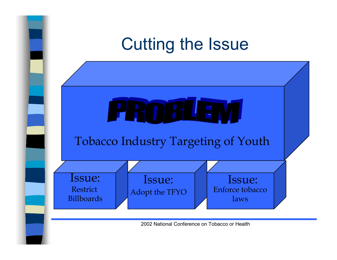## Cutting the Issue

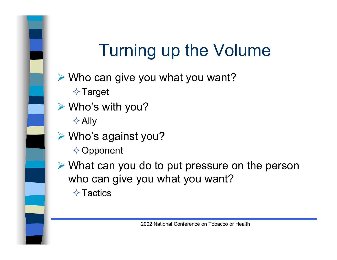# Turning up the Volume

- ¾ Who can give you what you want?  $\Diamond$  Target
- ¾ Who's with you?
	- $\triangle$  Ally
- ¾ Who's against you?  $\Diamond$  Opponent
- ¾ What can you do to put pressure on the person who can give you what you want?  $\Diamond$  Tactics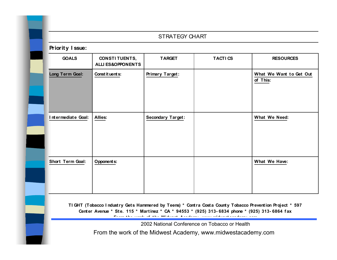#### STRATEGY CHART

#### **Priority I ssue: GOALS CONSTI TUENTS, ALLI ES&OPPONENTSTARGET TACTI CS RESOURCESLong Term Goal: Constituents: Primary Target: What We Want to Get Out of This: I ntermediate Goal:**Allies: Secondary Target: | Net What We Need: **Short Term Goal:Opponents:**  $\vert$  **What We Have:**

**TI GHT (Tobacco I ndustry Gets Hammered by Teens) \* Contra Costa County Tobacco Prevention Project \* 597 Center Avenue \* Ste. 115 \* Martinez \* CA \* 94553 \* (925) 313- 6834 phone \* (925) 313- 6864 f ax From the work of the Midwest Academy www midwestacademy com**

2002 National Conference on Tobacco or Health

From the work of the Midwest Academy, www.midwestacademy.com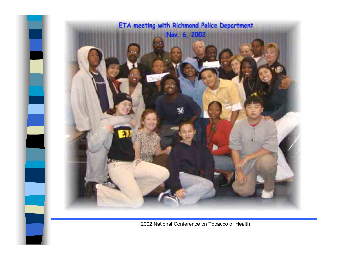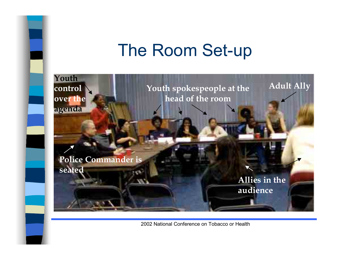## The Room Set-up

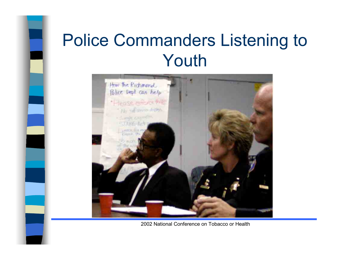## Police Commanders Listening to Youth



2002 National Conference on Tobacco or Health